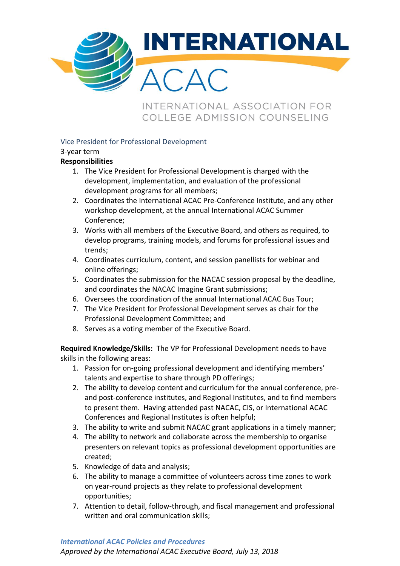

INTERNATIONAL ASSOCIATION FOR COLLEGE ADMISSION COUNSELING

## Vice President for Professional Development

## 3-year term

## **Responsibilities**

- 1. The Vice President for Professional Development is charged with the development, implementation, and evaluation of the professional development programs for all members;
- 2. Coordinates the International ACAC Pre-Conference Institute, and any other workshop development, at the annual International ACAC Summer Conference;
- 3. Works with all members of the Executive Board, and others as required, to develop programs, training models, and forums for professional issues and trends;
- 4. Coordinates curriculum, content, and session panellists for webinar and online offerings;
- 5. Coordinates the submission for the NACAC session proposal by the deadline, and coordinates the NACAC Imagine Grant submissions;
- 6. Oversees the coordination of the annual International ACAC Bus Tour;
- 7. The Vice President for Professional Development serves as chair for the Professional Development Committee; and
- 8. Serves as a voting member of the Executive Board.

**Required Knowledge/Skills:** The VP for Professional Development needs to have skills in the following areas:

- 1. Passion for on-going professional development and identifying members' talents and expertise to share through PD offerings;
- 2. The ability to develop content and curriculum for the annual conference, preand post-conference institutes, and Regional Institutes, and to find members to present them. Having attended past NACAC, CIS, or International ACAC Conferences and Regional Institutes is often helpful;
- 3. The ability to write and submit NACAC grant applications in a timely manner;
- 4. The ability to network and collaborate across the membership to organise presenters on relevant topics as professional development opportunities are created;
- 5. Knowledge of data and analysis;
- 6. The ability to manage a committee of volunteers across time zones to work on year-round projects as they relate to professional development opportunities;
- 7. Attention to detail, follow-through, and fiscal management and professional written and oral communication skills;

## *International ACAC Policies and Procedures*

*Approved by the International ACAC Executive Board, July 13, 2018*